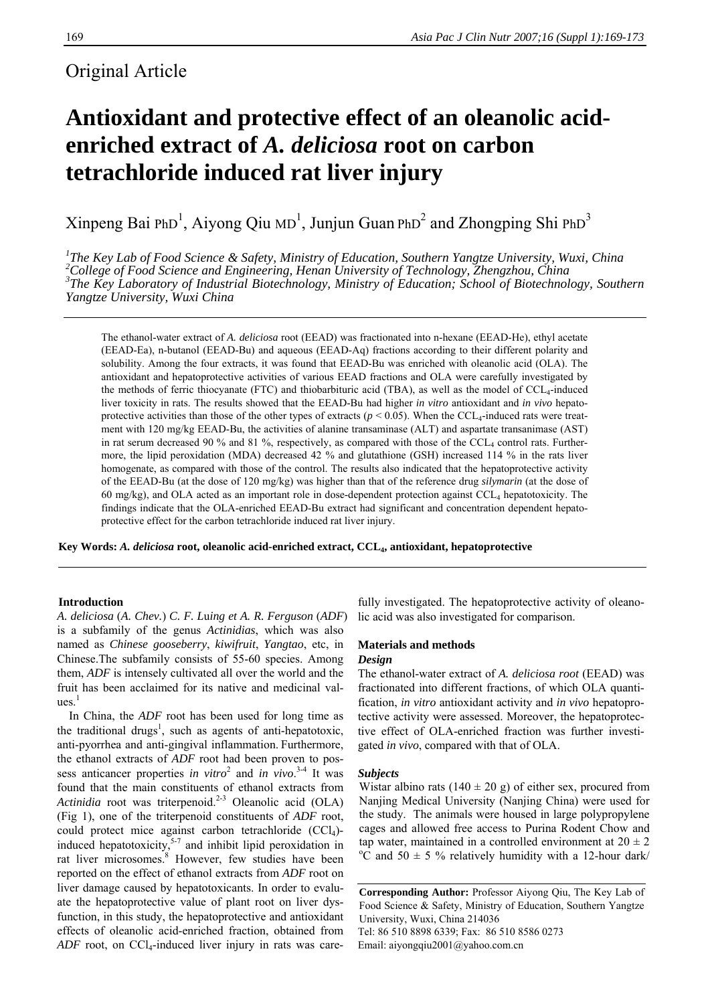# Original Article

# **Antioxidant and protective effect of an oleanolic acidenriched extract of** *A. deliciosa* **root on carbon tetrachloride induced rat liver injury**

Xinpeng Bai PhD<sup>1</sup>, Aiyong Qiu MD<sup>1</sup>, Junjun Guan PhD<sup>2</sup> and Zhongping Shi PhD<sup>3</sup>

<sup>1</sup>The Key Lab of Food Science & Safety, Ministry of Education, Southern Yangtze University, Wuxi, China <sup>2</sup>Collage of Food Science and Engineering, Hangrillo *2*Collage of Food Science and Engineering, Hangrillo *2Collage* <sup>2</sup> College of Food Science and Engineering, Henan University of Technology, Zhengzhou, China <sup>3</sup>The Key Laboratory of Industrial Biotechnology, Ministry of Education; School of Biotechnology, Southern *Yangtze University, Wuxi China* 

The ethanol-water extract of *A. deliciosa* root (EEAD) was fractionated into n-hexane (EEAD-He), ethyl acetate (EEAD-Ea), n-butanol (EEAD-Bu) and aqueous (EEAD-Aq) fractions according to their different polarity and solubility. Among the four extracts, it was found that EEAD-Bu was enriched with oleanolic acid (OLA). The antioxidant and hepatoprotective activities of various EEAD fractions and OLA were carefully investigated by the methods of ferric thiocyanate (FTC) and thiobarbituric acid (TBA), as well as the model of  $CCL_4$ -induced liver toxicity in rats. The results showed that the EEAD-Bu had higher *in vitro* antioxidant and *in vivo* hepatoprotective activities than those of the other types of extracts ( $p < 0.05$ ). When the CCL<sub>4</sub>-induced rats were treatment with 120 mg/kg EEAD-Bu, the activities of alanine transaminase (ALT) and aspartate transanimase (AST) in rat serum decreased 90 % and 81 %, respectively, as compared with those of the CCL<sub>4</sub> control rats. Furthermore, the lipid peroxidation (MDA) decreased 42 % and glutathione (GSH) increased 114 % in the rats liver homogenate, as compared with those of the control. The results also indicated that the hepatoprotective activity of the EEAD-Bu (at the dose of 120 mg/kg) was higher than that of the reference drug *silymarin* (at the dose of 60 mg/kg), and OLA acted as an important role in dose-dependent protection against  $CCL<sub>4</sub>$  hepatotoxicity. The findings indicate that the OLA-enriched EEAD-Bu extract had significant and concentration dependent hepatoprotective effect for the carbon tetrachloride induced rat liver injury.

**Key Words:** *A. deliciosa* **root, oleanolic acid-enriched extract, CCL4, antioxidant, hepatoprotective** 

# **Introduction**

*A. deliciosa* (*A. Chev.*) *C. F. L*u*ing et A. R. Ferguson* (*ADF*) is a subfamily of the genus *Actinidias*, which was also named as *Chinese gooseberry*, *kiwifruit*, *Yangtao*, etc, in Chinese.The subfamily consists of 55-60 species. Among them, *ADF* is intensely cultivated all over the world and the fruit has been acclaimed for its native and medicinal val $ues.<sup>1</sup>$ 

In China, the *ADF* root has been used for long time as the traditional drugs<sup>1</sup>, such as agents of anti-hepatotoxic, anti-pyorrhea and anti-gingival inflammation. Furthermore, the ethanol extracts of *ADF* root had been proven to possess anticancer properties *in vitro*<sup>2</sup> and *in vivo*.<sup>3-4</sup> It was found that the main constituents of ethanol extracts from *Actinidia* root was triterpenoid.<sup>2-3</sup> Oleanolic acid (OLA) (Fig 1), one of the triterpenoid constituents of *ADF* root, could protect mice against carbon tetrachloride (CCl<sub>4</sub>)induced hepatotoxicity,  $5-7$  and inhibit lipid peroxidation in rat liver microsomes.<sup>8</sup> However, few studies have been reported on the effect of ethanol extracts from *ADF* root on liver damage caused by hepatotoxicants. In order to evaluate the hepatoprotective value of plant root on liver dysfunction, in this study, the hepatoprotective and antioxidant effects of oleanolic acid-enriched fraction, obtained from *ADF* root, on CCl<sub>4</sub>-induced liver injury in rats was care-

fully investigated. The hepatoprotective activity of oleanolic acid was also investigated for comparison.

# **Materials and methods**  *Design*

The ethanol-water extract of *A. deliciosa root* (EEAD) was fractionated into different fractions, of which OLA quantification, *in vitro* antioxidant activity and *in vivo* hepatoprotective activity were assessed. Moreover, the hepatoprotective effect of OLA-enriched fraction was further investigated *in vivo*, compared with that of OLA.

# *Subjects*

Wistar albino rats (140  $\pm$  20 g) of either sex, procured from Nanjing Medical University (Nanjing China) were used for the study. The animals were housed in large polypropylene cages and allowed free access to Purina Rodent Chow and tap water, maintained in a controlled environment at  $20 \pm 2$  $\rm{^{\circ}C}$  and 50  $\pm$  5 % relatively humidity with a 12-hour dark/

**Corresponding Author:** Professor Aiyong Qiu, The Key Lab of Food Science & Safety, Ministry of Education, Southern Yangtze University, Wuxi, China 214036 Tel: 86 510 8898 6339; Fax: 86 510 8586 0273 Email: aiyongqiu2001@yahoo.com.cn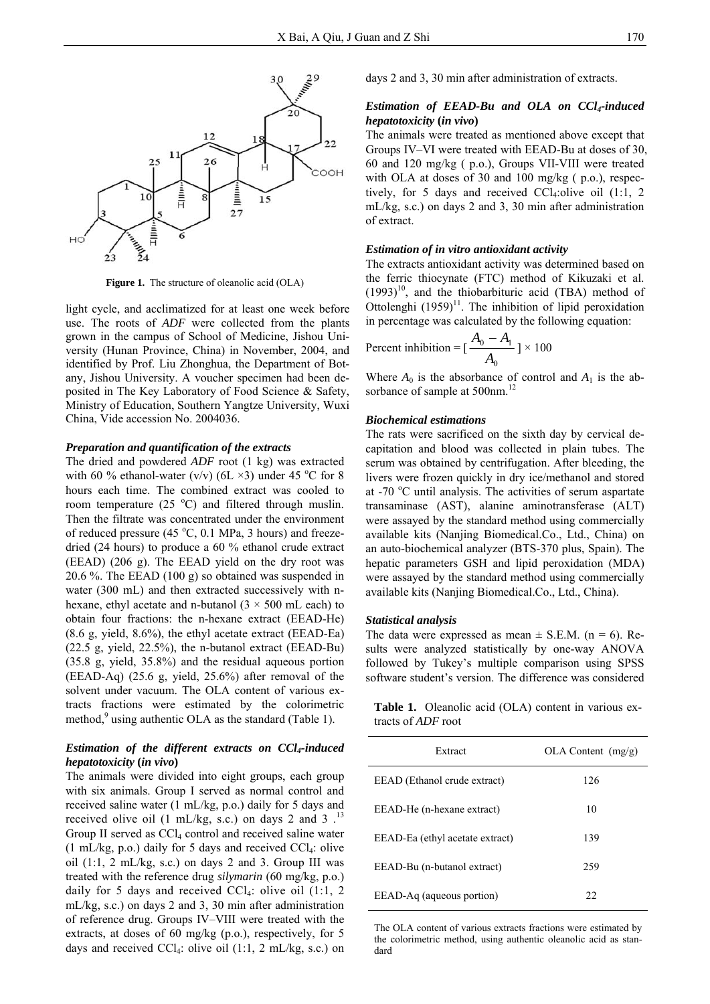

**Figure 1.** The structure of oleanolic acid (OLA)

light cycle, and acclimatized for at least one week before use. The roots of *ADF* were collected from the plants grown in the campus of School of Medicine, Jishou University (Hunan Province, China) in November, 2004, and identified by Prof. Liu Zhonghua, the Department of Botany, Jishou University. A voucher specimen had been deposited in The Key Laboratory of Food Science & Safety, Ministry of Education, Southern Yangtze University, Wuxi China, Vide accession No. 2004036.

### *Preparation and quantification of the extracts*

The dried and powdered *ADF* root (1 kg) was extracted with 60 % ethanol-water (v/v) (6L  $\times$ 3) under 45 °C for 8 hours each time. The combined extract was cooled to room temperature  $(25 °C)$  and filtered through muslin. Then the filtrate was concentrated under the environment of reduced pressure (45 $\degree$ C, 0.1 MPa, 3 hours) and freezedried (24 hours) to produce a 60 % ethanol crude extract (EEAD) (206 g). The EEAD yield on the dry root was 20.6 %. The EEAD (100 g) so obtained was suspended in water (300 mL) and then extracted successively with nhexane, ethyl acetate and n-butanol  $(3 \times 500 \text{ mL each})$  to obtain four fractions: the n-hexane extract (EEAD-He) (8.6 g, yield, 8.6%), the ethyl acetate extract (EEAD-Ea) (22.5 g, yield, 22.5%), the n-butanol extract (EEAD-Bu) (35.8 g, yield, 35.8%) and the residual aqueous portion (EEAD-Aq) (25.6 g, yield, 25.6%) after removal of the solvent under vacuum. The OLA content of various extracts fractions were estimated by the colorimetric method,<sup>9</sup> using authentic OLA as the standard (Table 1).

# *Estimation of the different extracts on CCl4-induced hepatotoxicity* **(***in vivo***)**

The animals were divided into eight groups, each group with six animals. Group I served as normal control and received saline water (1 mL/kg, p.o.) daily for 5 days and received olive oil (1 mL/kg, s.c.) on days 2 and 3  $^{13}$ Group II served as  $CCl<sub>4</sub>$  control and received saline water  $(1 \text{ mL/kg}, \text{ p.o.})$  daily for 5 days and received CCl<sub>4</sub>: olive oil  $(1:1, 2 \text{ mL/kg}, \text{ s.c.})$  on days 2 and 3. Group III was treated with the reference drug *silymarin* (60 mg/kg, p.o.) daily for 5 days and received  $CCl<sub>4</sub>$ : olive oil (1:1, 2) mL/kg, s.c.) on days 2 and 3, 30 min after administration of reference drug. Groups IV–VIII were treated with the extracts, at doses of 60 mg/kg (p.o.), respectively, for 5 days and received CCl<sub>4</sub>: olive oil  $(1:1, 2 \text{ mL/kg}, \text{ s.c.})$  on days 2 and 3, 30 min after administration of extracts.

# *Estimation of EEAD-Bu and OLA on CCl4-induced hepatotoxicity* **(***in vivo***)**

The animals were treated as mentioned above except that Groups IV–VI were treated with EEAD-Bu at doses of 30, 60 and 120 mg/kg ( p.o.), Groups VII-VIII were treated with OLA at doses of 30 and 100 mg/kg ( p.o.), respectively, for 5 days and received CCl<sub>4</sub>:olive oil  $(1:1, 2)$ mL/kg, s.c.) on days 2 and 3, 30 min after administration of extract.

# *Estimation of in vitro antioxidant activity*

The extracts antioxidant activity was determined based on the ferric thiocynate (FTC) method of Kikuzaki et al.  $(1993)^{10}$ , and the thiobarbituric acid (TBA) method of Ottolenghi  $(1959)^{11}$ . The inhibition of lipid peroxidation in percentage was calculated by the following equation:

Percent inhibition = 
$$
\left[\frac{A_0 - A_1}{A_0}\right] \times 100
$$

Where  $A_0$  is the absorbance of control and  $A_1$  is the absorbance of sample at 500nm.<sup>12</sup>

#### *Biochemical estimations*

The rats were sacrificed on the sixth day by cervical decapitation and blood was collected in plain tubes. The serum was obtained by centrifugation. After bleeding, the livers were frozen quickly in dry ice/methanol and stored at -70 °C until analysis. The activities of serum aspartate transaminase (AST), alanine aminotransferase (ALT) were assayed by the standard method using commercially available kits (Nanjing Biomedical.Co., Ltd., China) on an auto-biochemical analyzer (BTS-370 plus, Spain). The hepatic parameters GSH and lipid peroxidation (MDA) were assayed by the standard method using commercially available kits (Nanjing Biomedical.Co., Ltd., China).

# *Statistical analysis*

The data were expressed as mean  $\pm$  S.E.M. (n = 6). Results were analyzed statistically by one-way ANOVA followed by Tukey's multiple comparison using SPSS software student's version. The difference was considered

**Table 1.** Oleanolic acid (OLA) content in various extracts of *ADF* root

| Extract                         | OLA Content (mg/g) |  |  |
|---------------------------------|--------------------|--|--|
| EEAD (Ethanol crude extract)    | 126                |  |  |
| EEAD-He (n-hexane extract)      | 10                 |  |  |
| EEAD-Ea (ethyl acetate extract) | 139                |  |  |
| EEAD-Bu (n-butanol extract)     | 259                |  |  |
| EEAD-Aq (aqueous portion)       | 22.                |  |  |

The OLA content of various extracts fractions were estimated by the colorimetric method, using authentic oleanolic acid as standard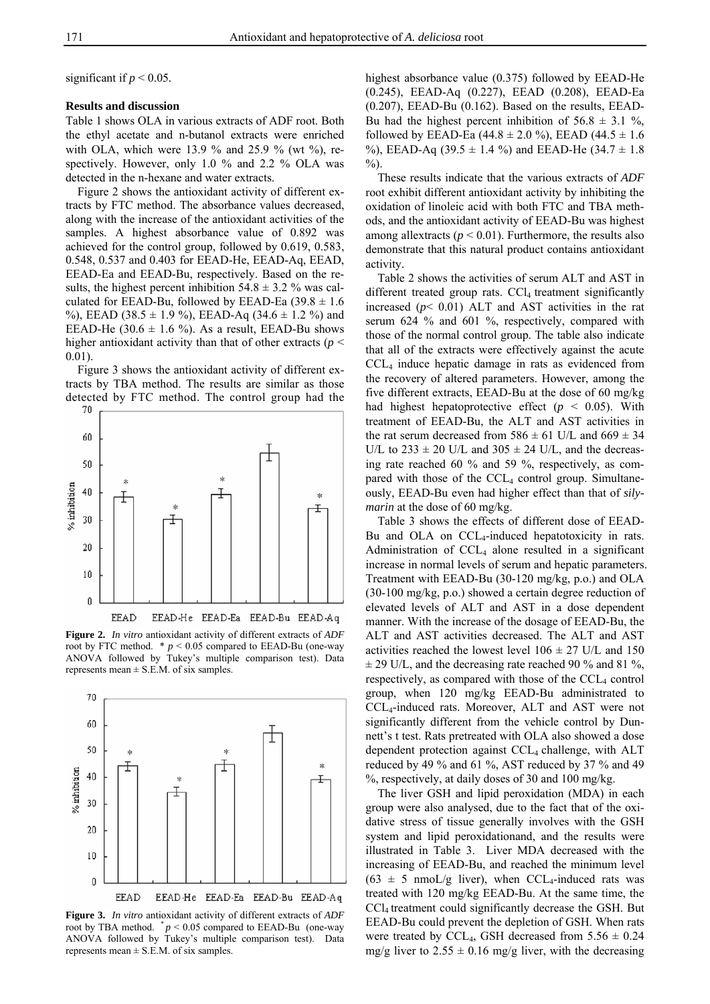significant if  $p < 0.05$ .

#### **Results and discussion**

Table 1 shows OLA in various extracts of ADF root. Both the ethyl acetate and n-butanol extracts were enriched with OLA, which were 13.9 % and 25.9 % (wt %), respectively. However, only 1.0 % and 2.2 % OLA was detected in the n-hexane and water extracts.

Figure 2 shows the antioxidant activity of different extracts by FTC method. The absorbance values decreased, along with the increase of the antioxidant activities of the samples. A highest absorbance value of 0.892 was achieved for the control group, followed by 0.619, 0.583, 0.548, 0.537 and 0.403 for EEAD-He, EEAD-Aq, EEAD, EEAD-Ea and EEAD-Bu, respectively. Based on the results, the highest percent inhibition  $54.8 \pm 3.2$  % was calculated for EEAD-Bu, followed by EEAD-Ea  $(39.8 \pm 1.6$ %), EEAD (38.5  $\pm$  1.9 %), EEAD-Aq (34.6  $\pm$  1.2 %) and EEAD-He (30.6  $\pm$  1.6 %). As a result, EEAD-Bu shows higher antioxidant activity than that of other extracts ( $p <$ 0.01).

Figure 3 shows the antioxidant activity of different extracts by TBA method. The results are similar as those detected by FTC method. The control group had the 70



**Figure 2.** *In vitro* antioxidant activity of different extracts of *ADF* root by FTC method.  $* p < 0.05$  compared to EEAD-Bu (one-way ANOVA followed by Tukey's multiple comparison test). Data represents mean  $\pm$  S.E.M. of six samples.



**Figure 3.** *In vitro* antioxidant activity of different extracts of *ADF* root by TBA method.  $p < 0.05$  compared to EEAD-Bu (one-way ANOVA followed by Tukey's multiple comparison test). Data represents mean  $\pm$  S.E.M. of six samples.

highest absorbance value (0.375) followed by EEAD-He (0.245), EEAD-Aq (0.227), EEAD (0.208), EEAD-Ea  $(0.207)$ , EEAD-Bu  $(0.162)$ . Based on the results, EEAD-Bu had the highest percent inhibition of  $56.8 \pm 3.1$  %. followed by EEAD-Ea (44.8  $\pm$  2.0 %), EEAD (44.5  $\pm$  1.6 %), EEAD-Aq (39.5  $\pm$  1.4 %) and EEAD-He (34.7  $\pm$  1.8  $\%$ ).

These results indicate that the various extracts of *ADF* root exhibit different antioxidant activity by inhibiting the oxidation of linoleic acid with both FTC and TBA methods, and the antioxidant activity of EEAD-Bu was highest among allextracts ( $p < 0.01$ ). Furthermore, the results also demonstrate that this natural product contains antioxidant activity.

Table 2 shows the activities of serum ALT and AST in different treated group rats. CCl<sub>4</sub> treatment significantly increased  $(p< 0.01)$  ALT and AST activities in the rat serum 624 % and 601 %, respectively, compared with those of the normal control group. The table also indicate that all of the extracts were effectively against the acute CCL4 induce hepatic damage in rats as evidenced from the recovery of altered parameters. However, among the five different extracts, EEAD-Bu at the dose of 60 mg/kg had highest hepatoprotective effect  $(p < 0.05)$ . With treatment of EEAD-Bu, the ALT and AST activities in the rat serum decreased from  $586 \pm 61$  U/L and  $669 \pm 34$ U/L to  $233 \pm 20$  U/L and  $305 \pm 24$  U/L, and the decreasing rate reached 60 % and 59 %, respectively, as compared with those of the  $CCL<sub>4</sub>$  control group. Simultaneously, EEAD-Bu even had higher effect than that of *silymarin* at the dose of 60 mg/kg.

Table 3 shows the effects of different dose of EEAD-Bu and OLA on  $CCL<sub>4</sub>$ -induced hepatotoxicity in rats. Administration of  $CCL<sub>4</sub>$  alone resulted in a significant increase in normal levels of serum and hepatic parameters. Treatment with EEAD-Bu (30-120 mg/kg, p.o.) and OLA (30-100 mg/kg, p.o.) showed a certain degree reduction of elevated levels of ALT and AST in a dose dependent manner. With the increase of the dosage of EEAD-Bu, the ALT and AST activities decreased. The ALT and AST activities reached the lowest level  $106 \pm 27$  U/L and  $150$  $\pm$  29 U/L, and the decreasing rate reached 90 % and 81 %, respectively, as compared with those of the  $CCL<sub>4</sub>$  control group, when 120 mg/kg EEAD-Bu administrated to CCL4-induced rats. Moreover, ALT and AST were not significantly different from the vehicle control by Dunnett's t test. Rats pretreated with OLA also showed a dose dependent protection against CCL<sub>4</sub> challenge, with ALT reduced by 49 % and 61 %, AST reduced by 37 % and 49  $\%$ , respectively, at daily doses of 30 and 100 mg/kg.

The liver GSH and lipid peroxidation (MDA) in each group were also analysed, due to the fact that of the oxidative stress of tissue generally involves with the GSH system and lipid peroxidationand, and the results were illustrated in Table 3. Liver MDA decreased with the increasing of EEAD-Bu, and reached the minimum level  $(63 \pm 5 \text{ nmoL/g liver})$ , when CCL<sub>4</sub>-induced rats was treated with 120 mg/kg EEAD-Bu. At the same time, the CCl4 treatment could significantly decrease the GSH. But EEAD-Bu could prevent the depletion of GSH. When rats were treated by CCL<sub>4</sub>, GSH decreased from  $5.56 \pm 0.24$ mg/g liver to  $2.55 \pm 0.16$  mg/g liver, with the decreasing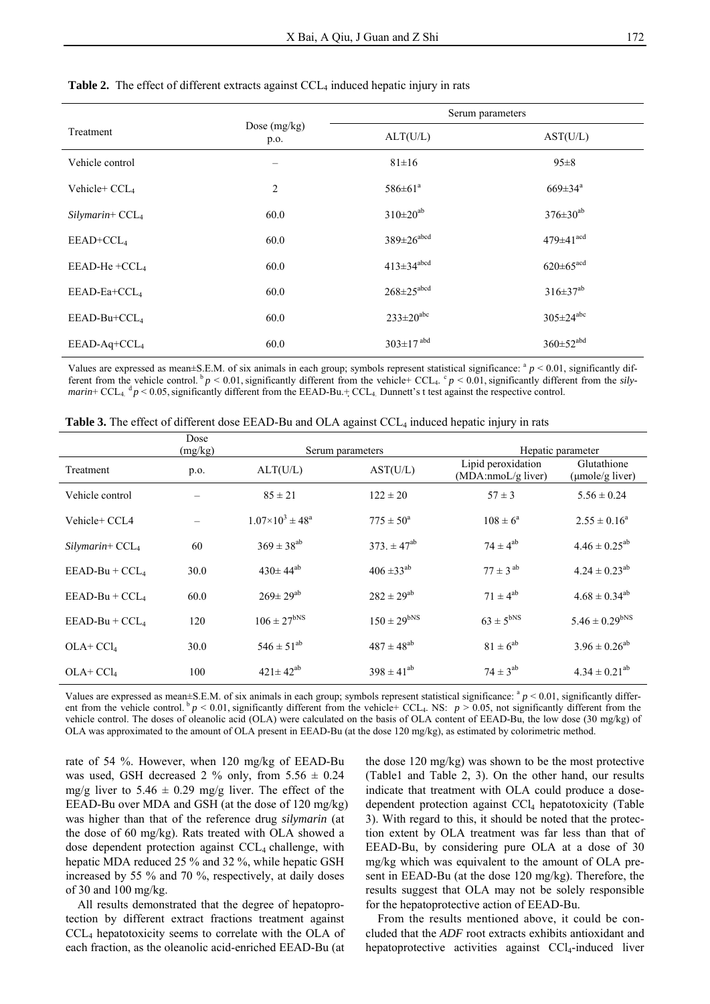|                           |                        | Serum parameters             |                             |  |
|---------------------------|------------------------|------------------------------|-----------------------------|--|
| Treatment                 | Dose $(mg/kg)$<br>p.o. | ALT(U/L)                     | AST(U/L)                    |  |
| Vehicle control           |                        | $81 \pm 16$                  | $95 \pm 8$                  |  |
| Vehicle+ CCL <sub>4</sub> | 2                      | $586 \pm 61^a$               | $669 \pm 34^a$              |  |
| $Silymarin+ CCL4$         | 60.0                   | $310 \pm 20^{ab}$            | $376 \pm 30^{ab}$           |  |
| $EEAD+CCL4$               | 60.0                   | $389 \pm 26$ <sup>abcd</sup> | $479 \pm 41$ <sup>acd</sup> |  |
| EEAD-He +CCL <sub>4</sub> | 60.0                   | $413 \pm 34$ <sup>abcd</sup> | $620 \pm 65$ <sup>acd</sup> |  |
| EEAD-Ea+CCL <sub>4</sub>  | 60.0                   | $268 \pm 25$ <sup>abcd</sup> | $316 \pm 37^{ab}$           |  |
| EEAD-Bu+CCL <sub>4</sub>  | 60.0                   | $233 \pm 20^{abc}$           | $305 \pm 24^{abc}$          |  |
| $EEAD-Aq+CCL4$            | 60.0                   | $303 \pm 17$ <sup>abd</sup>  | $360 \pm 52^{abd}$          |  |

#### **Table 2.** The effect of different extracts against CCL<sub>4</sub> induced hepatic injury in rats

Values are expressed as mean±S.E.M. of six animals in each group; symbols represent statistical significance:  $a$   $p$  < 0.01, significantly different from the vehicle control.<sup>b</sup>  $p < 0.01$ , significantly different from the vehicle+ CCL<sub>4</sub>. <sup>c</sup>  $p < 0.01$ , significantly different from the *silymarin*+ CCL<sub>4</sub>.  $d_p$  < 0.05, significantly different from the EEAD-Bu.+ CCL<sub>4</sub>. Dunnett's t test against the respective control.

| Table 3. The effect of different dose EEAD-Bu and OLA against CCL <sub>4</sub> induced hepatic injury in rats |  |  |
|---------------------------------------------------------------------------------------------------------------|--|--|
|---------------------------------------------------------------------------------------------------------------|--|--|

|                   | Dose<br>(mg/kg) | Serum parameters                     |                      | Hepatic parameter                        |                                |
|-------------------|-----------------|--------------------------------------|----------------------|------------------------------------------|--------------------------------|
| Treatment         | p.o.            | ALT(U/L)                             | AST(U/L)             | Lipid peroxidation<br>(MDA:nmoL/g liver) | Glutathione<br>(µmole/g liver) |
| Vehicle control   |                 | $85 \pm 21$                          | $122 \pm 20$         | $57 \pm 3$                               | $5.56 \pm 0.24$                |
| Vehicle+ CCL4     |                 | $1.07\times10^{3}$ ± 48 <sup>a</sup> | $775 \pm 50^{\circ}$ | $108 \pm 6^{\circ}$                      | $2.55 \pm 0.16^a$              |
| $Silymarin+ CCL4$ | 60              | $369 \pm 38^{ab}$                    | 373 $\pm 47^{ab}$    | $74 \pm 4^{ab}$                          | $4.46 \pm 0.25^{ab}$           |
| $EEAD-Bu + CCL4$  | 30.0            | $430 \pm 44^{ab}$                    | $406 \pm 33^{ab}$    | $77 \pm 3^{ab}$                          | $4.24 \pm 0.23^{ab}$           |
| $EEAD-Bu + CCL4$  | 60.0            | $269 \pm 29^{ab}$                    | $282 \pm 29^{ab}$    | $71 \pm 4^{ab}$                          | $4.68 \pm 0.34^{ab}$           |
| $EEAD-Bu + CCL4$  | 120             | $106 \pm 27^{bNS}$                   | $150 \pm 29^{bNS}$   | $63 \pm 5^{bNS}$                         | $5.46 \pm 0.29^{bNS}$          |
| $OLA+CCl4$        | 30.0            | $546 \pm 51^{ab}$                    | $487 \pm 48^{ab}$    | $81 \pm 6^{ab}$                          | $3.96 \pm 0.26^{ab}$           |
| $OLA+CCl4$        | 100             | $421 \pm 42^{ab}$                    | $398 \pm 41^{ab}$    | $74 \pm 3^{ab}$                          | $4.34 \pm 0.21^{ab}$           |

Values are expressed as mean±S.E.M. of six animals in each group; symbols represent statistical significance:  $\binom{a}{r}$   $\lt$  0.01, significantly different from the vehicle control.<sup>b</sup>  $p < 0.01$ , significantly different from the vehicle+ CCL<sub>4</sub>. NS:  $p > 0.05$ , not significantly different from the vehicle control. The doses of oleanolic acid (OLA) were calculated on the basis of OLA content of EEAD-Bu, the low dose (30 mg/kg) of OLA was approximated to the amount of OLA present in EEAD-Bu (at the dose 120 mg/kg), as estimated by colorimetric method.

rate of 54 %. However, when 120 mg/kg of EEAD-Bu was used, GSH decreased 2 % only, from  $5.56 \pm 0.24$ mg/g liver to  $5.46 \pm 0.29$  mg/g liver. The effect of the EEAD-Bu over MDA and GSH (at the dose of 120 mg/kg) was higher than that of the reference drug *silymarin* (at the dose of 60 mg/kg). Rats treated with OLA showed a dose dependent protection against CCL<sub>4</sub> challenge, with hepatic MDA reduced 25 % and 32 %, while hepatic GSH increased by 55 % and 70 %, respectively, at daily doses of 30 and 100 mg/kg.

All results demonstrated that the degree of hepatoprotection by different extract fractions treatment against CCL4 hepatotoxicity seems to correlate with the OLA of each fraction, as the oleanolic acid-enriched EEAD-Bu (at

the dose 120 mg/kg) was shown to be the most protective (Table1 and Table 2, 3). On the other hand, our results indicate that treatment with OLA could produce a dosedependent protection against CCl<sub>4</sub> hepatotoxicity (Table 3). With regard to this, it should be noted that the protection extent by OLA treatment was far less than that of EEAD-Bu, by considering pure OLA at a dose of 30 mg/kg which was equivalent to the amount of OLA present in EEAD-Bu (at the dose 120 mg/kg). Therefore, the results suggest that OLA may not be solely responsible for the hepatoprotective action of EEAD-Bu.

From the results mentioned above, it could be concluded that the *ADF* root extracts exhibits antioxidant and hepatoprotective activities against CCl<sub>4</sub>-induced liver